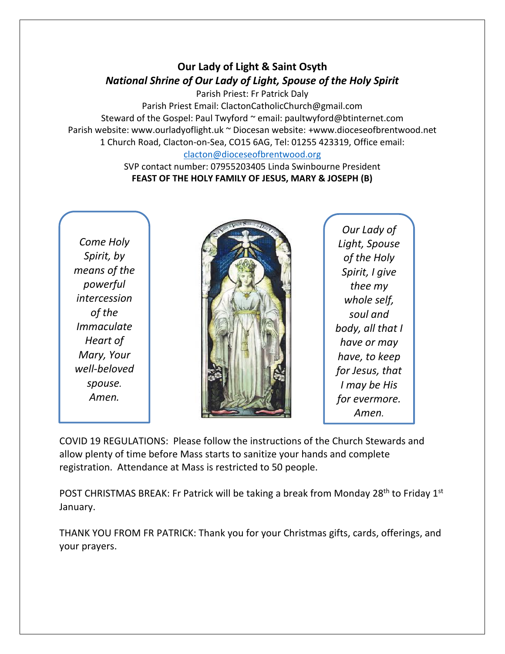## **Our Lady of Light & Saint Osyth** *National Shrine of Our Lady of Light, Spouse of the Holy Spirit*

Parish Priest: Fr Patrick Daly Parish Priest Email: ClactonCatholicChurch@gmail.com Steward of the Gospel: Paul Twyford ~ email: paultwyford@btinternet.com Parish website: www.ourladyoflight.uk ~ Diocesan website: +www.dioceseofbrentwood.net 1 Church Road, Clacton-on-Sea, CO15 6AG, Tel: 01255 423319, Office email: [clacton@dioceseofbrentwood.org](mailto:clacton@dioceseofbrentwood.org)

> SVP contact number: 07955203405 Linda Swinbourne President **FEAST OF THE HOLY FAMILY OF JESUS, MARY & JOSEPH (B)**

*Come Holy Spirit, by means of the powerful intercession of the Immaculate Heart of Mary, Your well-beloved spouse. Amen.*



*Our Lady of Light, Spouse of the Holy Spirit, I give thee my whole self, soul and body, all that I have or may have, to keep for Jesus, that I may be His for evermore. Amen.*

COVID 19 REGULATIONS: Please follow the instructions of the Church Stewards and allow plenty of time before Mass starts to sanitize your hands and complete registration. Attendance at Mass is restricted to 50 people.

POST CHRISTMAS BREAK: Fr Patrick will be taking a break from Monday 28<sup>th</sup> to Friday 1<sup>st</sup> January.

THANK YOU FROM FR PATRICK: Thank you for your Christmas gifts, cards, offerings, and your prayers.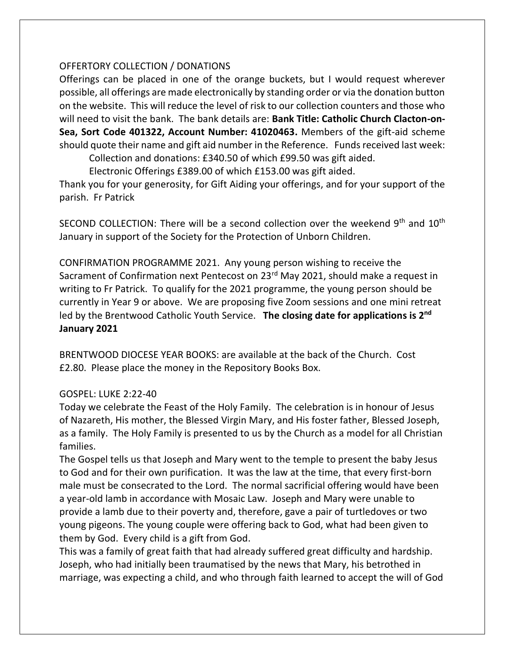## OFFERTORY COLLECTION / DONATIONS

Offerings can be placed in one of the orange buckets, but I would request wherever possible, all offerings are made electronically by standing order or via the donation button on the website. This will reduce the level of risk to our collection counters and those who will need to visit the bank. The bank details are: **Bank Title: Catholic Church Clacton-on-Sea, Sort Code 401322, Account Number: 41020463.** Members of the gift-aid scheme should quote their name and gift aid number in the Reference. Funds received last week:

Collection and donations: £340.50 of which £99.50 was gift aided.

Electronic Offerings £389.00 of which £153.00 was gift aided.

Thank you for your generosity, for Gift Aiding your offerings, and for your support of the parish. Fr Patrick

SECOND COLLECTION: There will be a second collection over the weekend  $9<sup>th</sup>$  and  $10<sup>th</sup>$ January in support of the Society for the Protection of Unborn Children.

CONFIRMATION PROGRAMME 2021. Any young person wishing to receive the Sacrament of Confirmation next Pentecost on 23<sup>rd</sup> May 2021, should make a request in writing to Fr Patrick. To qualify for the 2021 programme, the young person should be currently in Year 9 or above. We are proposing five Zoom sessions and one mini retreat led by the Brentwood Catholic Youth Service. **The closing date for applications is 2 nd January 2021**

BRENTWOOD DIOCESE YEAR BOOKS: are available at the back of the Church. Cost £2.80. Please place the money in the Repository Books Box.

## GOSPEL: LUKE 2:22-40

Today we celebrate the Feast of the Holy Family. The celebration is in honour of Jesus of Nazareth, His mother, the Blessed Virgin Mary, and His foster father, Blessed Joseph, as a family. The Holy Family is presented to us by the Church as a model for all Christian families.

The Gospel tells us that Joseph and Mary went to the temple to present the baby Jesus to God and for their own purification. It was the law at the time, that every first-born male must be consecrated to the Lord. The normal sacrificial offering would have been a year-old lamb in accordance with Mosaic Law. Joseph and Mary were unable to provide a lamb due to their poverty and, therefore, gave a pair of turtledoves or two young pigeons. The young couple were offering back to God, what had been given to them by God. Every child is a gift from God.

This was a family of great faith that had already suffered great difficulty and hardship. Joseph, who had initially been traumatised by the news that Mary, his betrothed in marriage, was expecting a child, and who through faith learned to accept the will of God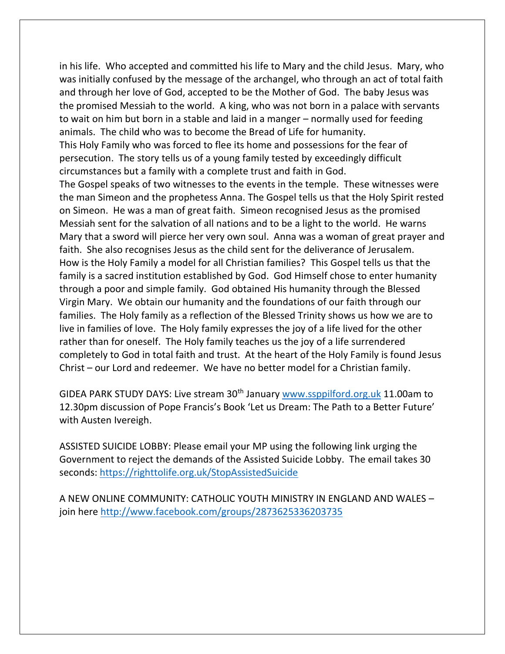in his life. Who accepted and committed his life to Mary and the child Jesus. Mary, who was initially confused by the message of the archangel, who through an act of total faith and through her love of God, accepted to be the Mother of God. The baby Jesus was the promised Messiah to the world. A king, who was not born in a palace with servants to wait on him but born in a stable and laid in a manger – normally used for feeding animals. The child who was to become the Bread of Life for humanity. This Holy Family who was forced to flee its home and possessions for the fear of persecution. The story tells us of a young family tested by exceedingly difficult circumstances but a family with a complete trust and faith in God.

The Gospel speaks of two witnesses to the events in the temple. These witnesses were the man Simeon and the prophetess Anna. The Gospel tells us that the Holy Spirit rested on Simeon. He was a man of great faith. Simeon recognised Jesus as the promised Messiah sent for the salvation of all nations and to be a light to the world. He warns Mary that a sword will pierce her very own soul. Anna was a woman of great prayer and faith. She also recognises Jesus as the child sent for the deliverance of Jerusalem. How is the Holy Family a model for all Christian families? This Gospel tells us that the family is a sacred institution established by God. God Himself chose to enter humanity through a poor and simple family. God obtained His humanity through the Blessed Virgin Mary. We obtain our humanity and the foundations of our faith through our families. The Holy family as a reflection of the Blessed Trinity shows us how we are to live in families of love. The Holy family expresses the joy of a life lived for the other rather than for oneself. The Holy family teaches us the joy of a life surrendered completely to God in total faith and trust. At the heart of the Holy Family is found Jesus Christ – our Lord and redeemer. We have no better model for a Christian family.

GIDEA PARK STUDY DAYS: Live stream 30<sup>th</sup> January [www.ssppilford.org.uk](http://www.ssppilford.org.uk/) 11.00am to 12.30pm discussion of Pope Francis's Book 'Let us Dream: The Path to a Better Future' with Austen Ivereigh.

ASSISTED SUICIDE LOBBY: Please email your MP using the following link urging the Government to reject the demands of the Assisted Suicide Lobby. The email takes 30 seconds:<https://righttolife.org.uk/StopAssistedSuicide>

A NEW ONLINE COMMUNITY: CATHOLIC YOUTH MINISTRY IN ENGLAND AND WALES – join here<http://www.facebook.com/groups/2873625336203735>